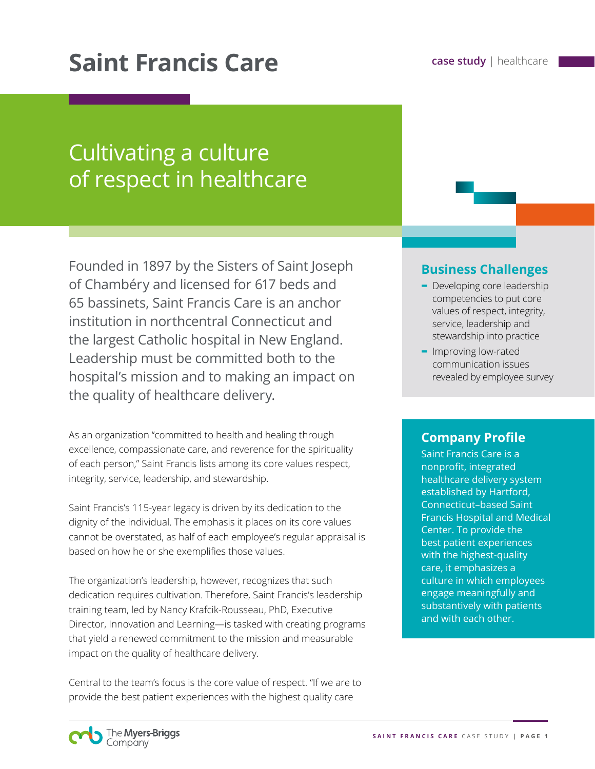# **Saint Francis Care case study** | healthcare

# Cultivating a culture of respect in healthcare

Founded in 1897 by the Sisters of Saint Joseph of Chambéry and licensed for 617 beds and 65 bassinets, Saint Francis Care is an anchor institution in northcentral Connecticut and the largest Catholic hospital in New England. Leadership must be committed both to the hospital's mission and to making an impact on the quality of healthcare delivery.

As an organization "committed to health and healing through excellence, compassionate care, and reverence for the spirituality of each person," Saint Francis lists among its core values respect, integrity, service, leadership, and stewardship.

Saint Francis's 115-year legacy is driven by its dedication to the dignity of the individual. The emphasis it places on its core values cannot be overstated, as half of each employee's regular appraisal is based on how he or she exemplifies those values.

The organization's leadership, however, recognizes that such dedication requires cultivation. Therefore, Saint Francis's leadership training team, led by Nancy Krafcik-Rousseau, PhD, Executive Director, Innovation and Learning—is tasked with creating programs that yield a renewed commitment to the mission and measurable impact on the quality of healthcare delivery.

Central to the team's focus is the core value of respect. "If we are to provide the best patient experiences with the highest quality care

#### **Business Challenges**

- **-** Developing core leadership competencies to put core values of respect, integrity, service, leadership and stewardship into practice
- **-** Improving low-rated communication issues revealed by employee survey

#### **Company Profile**

Saint Francis Care is a nonprofit, integrated healthcare delivery system established by Hartford, Connecticut–based Saint Francis Hospital and Medical Center. To provide the best patient experiences with the highest-quality care, it emphasizes a culture in which employees engage meaningfully and substantively with patients and with each other.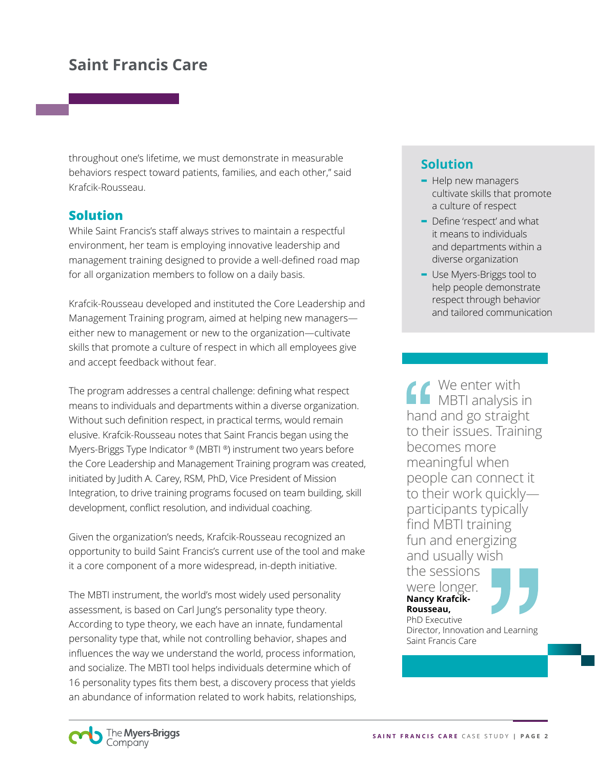throughout one's lifetime, we must demonstrate in measurable behaviors respect toward patients, families, and each other," said Krafcik-Rousseau.

#### **Solution**

While Saint Francis's staff always strives to maintain a respectful environment, her team is employing innovative leadership and management training designed to provide a well-defined road map for all organization members to follow on a daily basis.

Krafcik-Rousseau developed and instituted the Core Leadership and Management Training program, aimed at helping new managers either new to management or new to the organization—cultivate skills that promote a culture of respect in which all employees give and accept feedback without fear.

The program addresses a central challenge: defining what respect means to individuals and departments within a diverse organization. Without such definition respect, in practical terms, would remain elusive. Krafcik-Rousseau notes that Saint Francis began using the Myers-Briggs Type Indicator ® (MBTI ®) instrument two years before the Core Leadership and Management Training program was created, initiated by Judith A. Carey, RSM, PhD, Vice President of Mission Integration, to drive training programs focused on team building, skill development, conflict resolution, and individual coaching.

Given the organization's needs, Krafcik-Rousseau recognized an opportunity to build Saint Francis's current use of the tool and make it a core component of a more widespread, in-depth initiative.

The MBTI instrument, the world's most widely used personality assessment, is based on Carl Jung's personality type theory. According to type theory, we each have an innate, fundamental personality type that, while not controlling behavior, shapes and influences the way we understand the world, process information, and socialize. The MBTI tool helps individuals determine which of 16 personality types fits them best, a discovery process that yields an abundance of information related to work habits, relationships,

#### **Solution**

- **-** Help new managers cultivate skills that promote a culture of respect
- **-** Define 'respect' and what it means to individuals and departments within a diverse organization
- **-** Use Myers-Briggs tool to help people demonstrate respect through behavior and tailored communication

We enter with MBTI analysis in hand and go straight to their issues. Training becomes more meaningful when people can connect it to their work quickly participants typically find MBTI training fun and energizing and usually wish the sessions were longer. **Nancy Krafcik-Rousseau,** 

PhD Executive Director, Innovation and Learning Saint Francis Care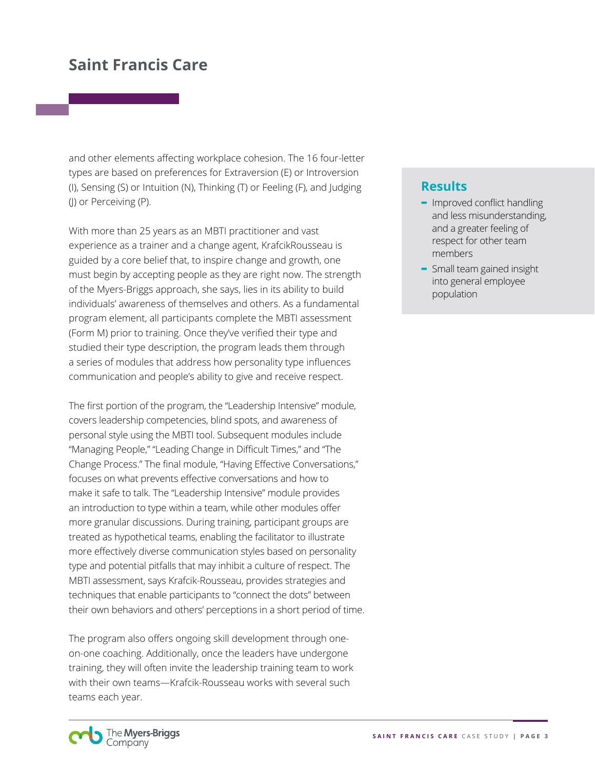and other elements affecting workplace cohesion. The 16 four-letter types are based on preferences for Extraversion (E) or Introversion (I), Sensing (S) or Intuition (N), Thinking (T) or Feeling (F), and Judging (J) or Perceiving (P).

With more than 25 years as an MBTI practitioner and vast experience as a trainer and a change agent, KrafcikRousseau is guided by a core belief that, to inspire change and growth, one must begin by accepting people as they are right now. The strength of the Myers-Briggs approach, she says, lies in its ability to build individuals' awareness of themselves and others. As a fundamental program element, all participants complete the MBTI assessment (Form M) prior to training. Once they've verified their type and studied their type description, the program leads them through a series of modules that address how personality type influences communication and people's ability to give and receive respect.

The first portion of the program, the "Leadership Intensive" module, covers leadership competencies, blind spots, and awareness of personal style using the MBTI tool. Subsequent modules include "Managing People," "Leading Change in Difficult Times," and "The Change Process." The final module, "Having Effective Conversations," focuses on what prevents effective conversations and how to make it safe to talk. The "Leadership Intensive" module provides an introduction to type within a team, while other modules offer more granular discussions. During training, participant groups are treated as hypothetical teams, enabling the facilitator to illustrate more effectively diverse communication styles based on personality type and potential pitfalls that may inhibit a culture of respect. The MBTI assessment, says Krafcik-Rousseau, provides strategies and techniques that enable participants to "connect the dots" between their own behaviors and others' perceptions in a short period of time.

The program also offers ongoing skill development through oneon-one coaching. Additionally, once the leaders have undergone training, they will often invite the leadership training team to work with their own teams—Krafcik-Rousseau works with several such teams each year.

#### **Results**

- **-** Improved conflict handling and less misunderstanding, and a greater feeling of respect for other team members
- **-** Small team gained insight into general employee population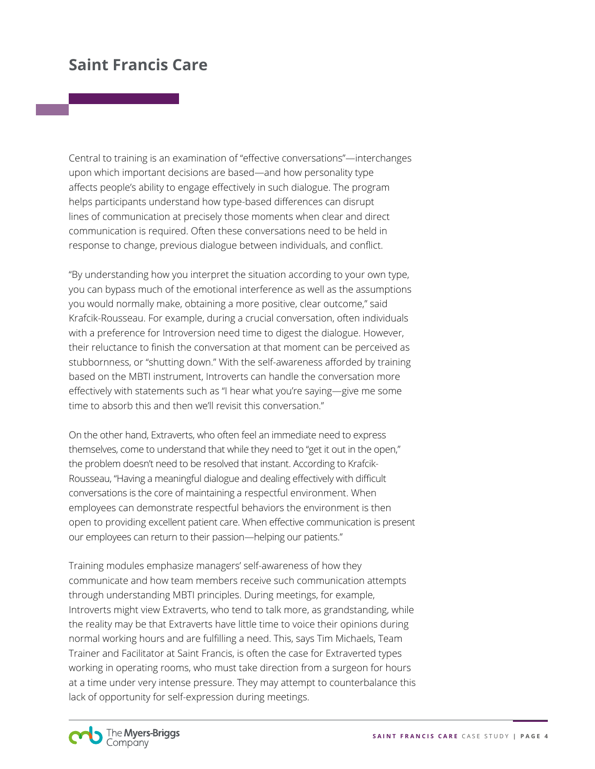Central to training is an examination of "effective conversations"—interchanges upon which important decisions are based—and how personality type affects people's ability to engage effectively in such dialogue. The program helps participants understand how type-based differences can disrupt lines of communication at precisely those moments when clear and direct communication is required. Often these conversations need to be held in response to change, previous dialogue between individuals, and conflict.

"By understanding how you interpret the situation according to your own type, you can bypass much of the emotional interference as well as the assumptions you would normally make, obtaining a more positive, clear outcome," said Krafcik-Rousseau. For example, during a crucial conversation, often individuals with a preference for Introversion need time to digest the dialogue. However, their reluctance to finish the conversation at that moment can be perceived as stubbornness, or "shutting down." With the self-awareness afforded by training based on the MBTI instrument, Introverts can handle the conversation more effectively with statements such as "I hear what you're saying—give me some time to absorb this and then we'll revisit this conversation."

On the other hand, Extraverts, who often feel an immediate need to express themselves, come to understand that while they need to "get it out in the open," the problem doesn't need to be resolved that instant. According to Krafcik-Rousseau, "Having a meaningful dialogue and dealing effectively with difficult conversations is the core of maintaining a respectful environment. When employees can demonstrate respectful behaviors the environment is then open to providing excellent patient care. When effective communication is present our employees can return to their passion—helping our patients."

Training modules emphasize managers' self-awareness of how they communicate and how team members receive such communication attempts through understanding MBTI principles. During meetings, for example, Introverts might view Extraverts, who tend to talk more, as grandstanding, while the reality may be that Extraverts have little time to voice their opinions during normal working hours and are fulfilling a need. This, says Tim Michaels, Team Trainer and Facilitator at Saint Francis, is often the case for Extraverted types working in operating rooms, who must take direction from a surgeon for hours at a time under very intense pressure. They may attempt to counterbalance this lack of opportunity for self-expression during meetings.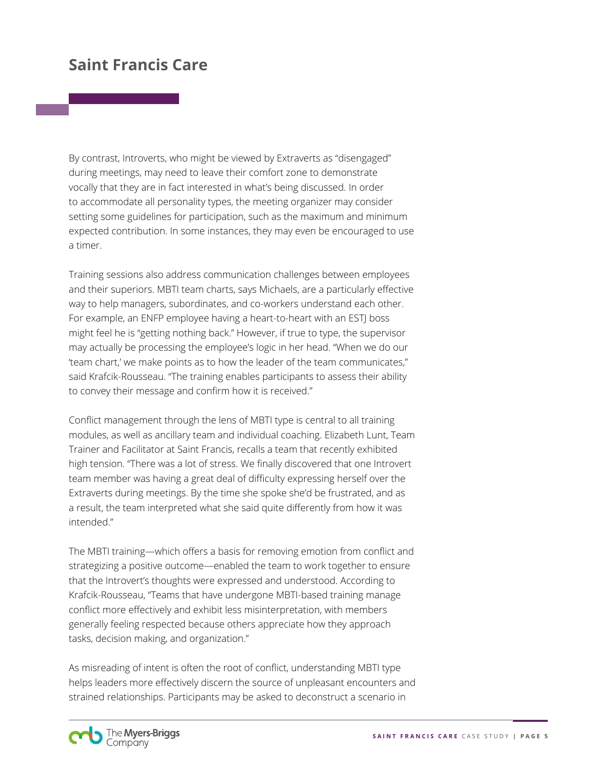By contrast, Introverts, who might be viewed by Extraverts as "disengaged" during meetings, may need to leave their comfort zone to demonstrate vocally that they are in fact interested in what's being discussed. In order to accommodate all personality types, the meeting organizer may consider setting some guidelines for participation, such as the maximum and minimum expected contribution. In some instances, they may even be encouraged to use a timer.

Training sessions also address communication challenges between employees and their superiors. MBTI team charts, says Michaels, are a particularly effective way to help managers, subordinates, and co-workers understand each other. For example, an ENFP employee having a heart-to-heart with an ESTJ boss might feel he is "getting nothing back." However, if true to type, the supervisor may actually be processing the employee's logic in her head. "When we do our 'team chart,' we make points as to how the leader of the team communicates," said Krafcik-Rousseau. "The training enables participants to assess their ability to convey their message and confirm how it is received."

Conflict management through the lens of MBTI type is central to all training modules, as well as ancillary team and individual coaching. Elizabeth Lunt, Team Trainer and Facilitator at Saint Francis, recalls a team that recently exhibited high tension. "There was a lot of stress. We finally discovered that one Introvert team member was having a great deal of difficulty expressing herself over the Extraverts during meetings. By the time she spoke she'd be frustrated, and as a result, the team interpreted what she said quite differently from how it was intended."

The MBTI training—which offers a basis for removing emotion from conflict and strategizing a positive outcome—enabled the team to work together to ensure that the Introvert's thoughts were expressed and understood. According to Krafcik-Rousseau, "Teams that have undergone MBTI-based training manage conflict more effectively and exhibit less misinterpretation, with members generally feeling respected because others appreciate how they approach tasks, decision making, and organization."

As misreading of intent is often the root of conflict, understanding MBTI type helps leaders more effectively discern the source of unpleasant encounters and strained relationships. Participants may be asked to deconstruct a scenario in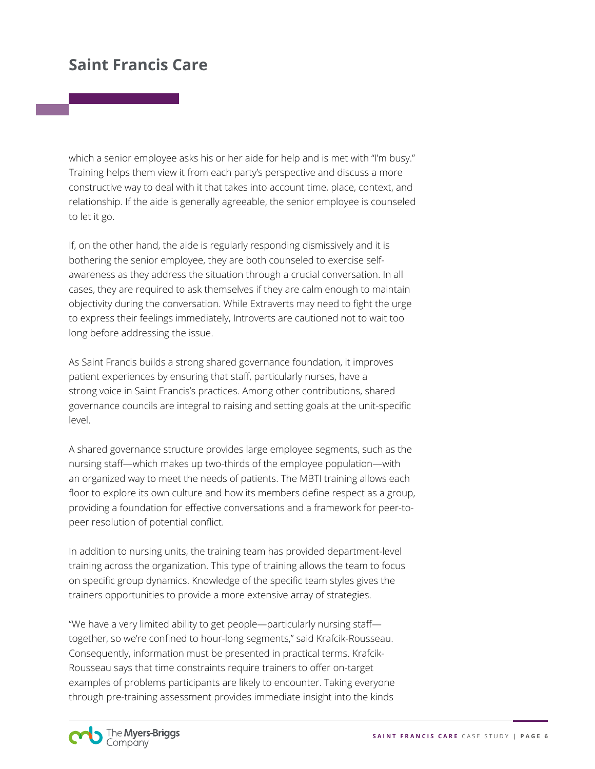which a senior employee asks his or her aide for help and is met with "I'm busy." Training helps them view it from each party's perspective and discuss a more constructive way to deal with it that takes into account time, place, context, and relationship. If the aide is generally agreeable, the senior employee is counseled to let it go.

If, on the other hand, the aide is regularly responding dismissively and it is bothering the senior employee, they are both counseled to exercise selfawareness as they address the situation through a crucial conversation. In all cases, they are required to ask themselves if they are calm enough to maintain objectivity during the conversation. While Extraverts may need to fight the urge to express their feelings immediately, Introverts are cautioned not to wait too long before addressing the issue.

As Saint Francis builds a strong shared governance foundation, it improves patient experiences by ensuring that staff, particularly nurses, have a strong voice in Saint Francis's practices. Among other contributions, shared governance councils are integral to raising and setting goals at the unit-specific level.

A shared governance structure provides large employee segments, such as the nursing staff—which makes up two-thirds of the employee population—with an organized way to meet the needs of patients. The MBTI training allows each floor to explore its own culture and how its members define respect as a group, providing a foundation for effective conversations and a framework for peer-topeer resolution of potential conflict.

In addition to nursing units, the training team has provided department-level training across the organization. This type of training allows the team to focus on specific group dynamics. Knowledge of the specific team styles gives the trainers opportunities to provide a more extensive array of strategies.

"We have a very limited ability to get people—particularly nursing staff together, so we're confined to hour-long segments," said Krafcik-Rousseau. Consequently, information must be presented in practical terms. Krafcik-Rousseau says that time constraints require trainers to offer on-target examples of problems participants are likely to encounter. Taking everyone through pre-training assessment provides immediate insight into the kinds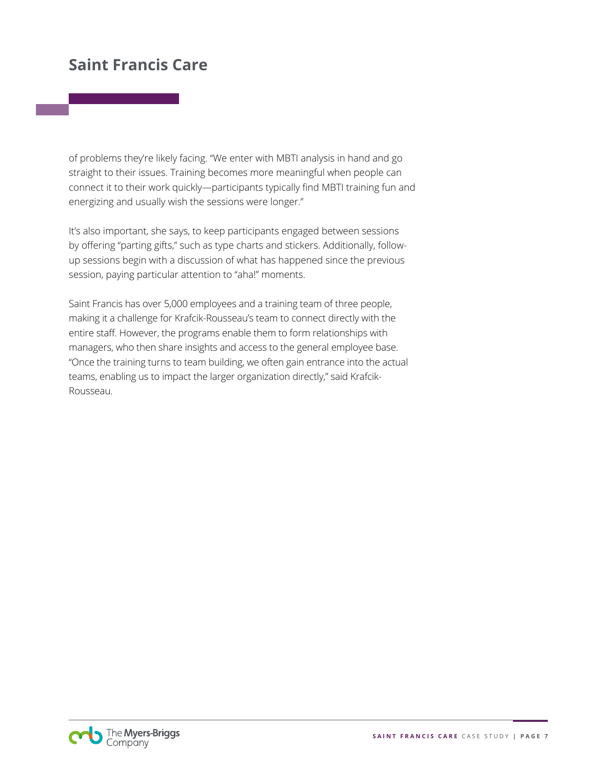of problems they're likely facing. "We enter with MBTI analysis in hand and go straight to their issues. Training becomes more meaningful when people can connect it to their work quickly—participants typically find MBTI training fun and energizing and usually wish the sessions were longer."

It's also important, she says, to keep participants engaged between sessions by offering "parting gifts," such as type charts and stickers. Additionally, followup sessions begin with a discussion of what has happened since the previous session, paying particular attention to "aha!" moments.

Saint Francis has over 5,000 employees and a training team of three people, making it a challenge for Krafcik-Rousseau's team to connect directly with the entire staff. However, the programs enable them to form relationships with managers, who then share insights and access to the general employee base. "Once the training turns to team building, we often gain entrance into the actual teams, enabling us to impact the larger organization directly," said Krafcik-Rousseau.

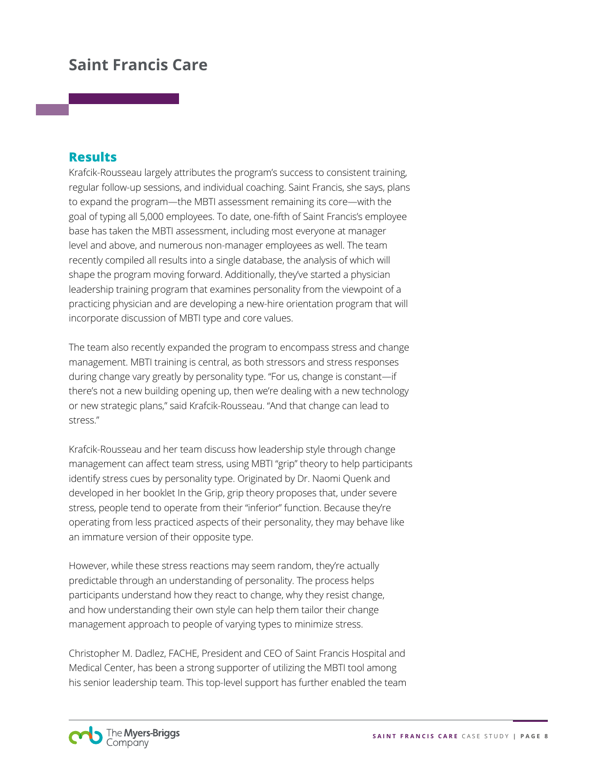#### **Results**

Krafcik-Rousseau largely attributes the program's success to consistent training, regular follow-up sessions, and individual coaching. Saint Francis, she says, plans to expand the program—the MBTI assessment remaining its core—with the goal of typing all 5,000 employees. To date, one-fifth of Saint Francis's employee base has taken the MBTI assessment, including most everyone at manager level and above, and numerous non-manager employees as well. The team recently compiled all results into a single database, the analysis of which will shape the program moving forward. Additionally, they've started a physician leadership training program that examines personality from the viewpoint of a practicing physician and are developing a new-hire orientation program that will incorporate discussion of MBTI type and core values.

The team also recently expanded the program to encompass stress and change management. MBTI training is central, as both stressors and stress responses during change vary greatly by personality type. "For us, change is constant—if there's not a new building opening up, then we're dealing with a new technology or new strategic plans," said Krafcik-Rousseau. "And that change can lead to stress."

Krafcik-Rousseau and her team discuss how leadership style through change management can affect team stress, using MBTI "grip" theory to help participants identify stress cues by personality type. Originated by Dr. Naomi Quenk and developed in her booklet In the Grip, grip theory proposes that, under severe stress, people tend to operate from their "inferior" function. Because they're operating from less practiced aspects of their personality, they may behave like an immature version of their opposite type.

However, while these stress reactions may seem random, they're actually predictable through an understanding of personality. The process helps participants understand how they react to change, why they resist change, and how understanding their own style can help them tailor their change management approach to people of varying types to minimize stress.

Christopher M. Dadlez, FACHE, President and CEO of Saint Francis Hospital and Medical Center, has been a strong supporter of utilizing the MBTI tool among his senior leadership team. This top-level support has further enabled the team

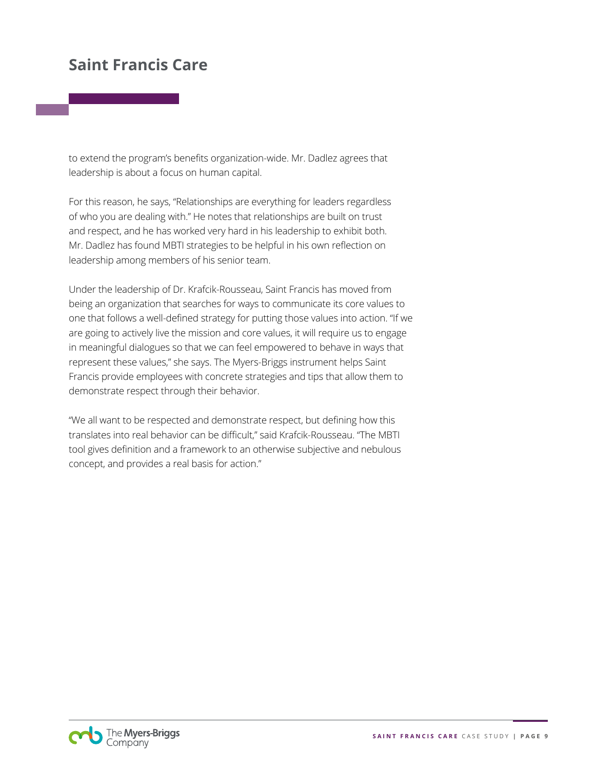to extend the program's benefits organization-wide. Mr. Dadlez agrees that leadership is about a focus on human capital.

For this reason, he says, "Relationships are everything for leaders regardless of who you are dealing with." He notes that relationships are built on trust and respect, and he has worked very hard in his leadership to exhibit both. Mr. Dadlez has found MBTI strategies to be helpful in his own reflection on leadership among members of his senior team.

Under the leadership of Dr. Krafcik-Rousseau, Saint Francis has moved from being an organization that searches for ways to communicate its core values to one that follows a well-defined strategy for putting those values into action. "If we are going to actively live the mission and core values, it will require us to engage in meaningful dialogues so that we can feel empowered to behave in ways that represent these values," she says. The Myers-Briggs instrument helps Saint Francis provide employees with concrete strategies and tips that allow them to demonstrate respect through their behavior.

"We all want to be respected and demonstrate respect, but defining how this translates into real behavior can be difficult," said Krafcik-Rousseau. "The MBTI tool gives definition and a framework to an otherwise subjective and nebulous concept, and provides a real basis for action."